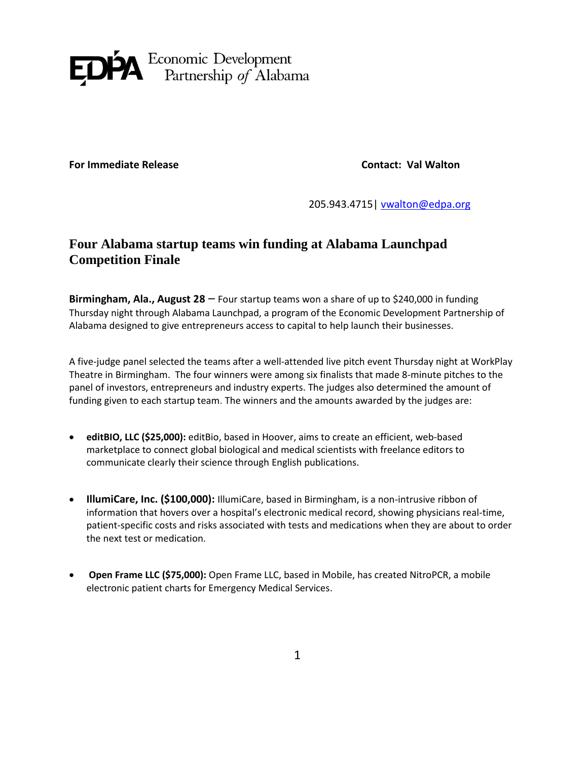

**For Immediate Release Contact: Val Walton** 

205.943.4715 [| vwalton@edpa.org](mailto:vwalton@edpa.org)

## **Four Alabama startup teams win funding at Alabama Launchpad Competition Finale**

**Birmingham, Ala., August 28** – Four startup teams won a share of up to \$240,000 in funding Thursday night through Alabama Launchpad, a program of the Economic Development Partnership of Alabama designed to give entrepreneurs access to capital to help launch their businesses.

A five-judge panel selected the teams after a well-attended live pitch event Thursday night at WorkPlay Theatre in Birmingham. The four winners were among six finalists that made 8-minute pitches to the panel of investors, entrepreneurs and industry experts. The judges also determined the amount of funding given to each startup team. The winners and the amounts awarded by the judges are:

- **editBIO, LLC (\$25,000):** editBio, based in Hoover, aims to create an efficient, web-based marketplace to connect global biological and medical scientists with freelance editors to communicate clearly their science through English publications.
- **IllumiCare, Inc. (\$100,000):** IllumiCare, based in Birmingham, is a non-intrusive ribbon of information that hovers over a hospital's electronic medical record, showing physicians real-time, patient-specific costs and risks associated with tests and medications when they are about to order the next test or medication.
- **Open Frame LLC (\$75,000):** Open Frame LLC, based in Mobile, has created NitroPCR, a mobile electronic patient charts for Emergency Medical Services.